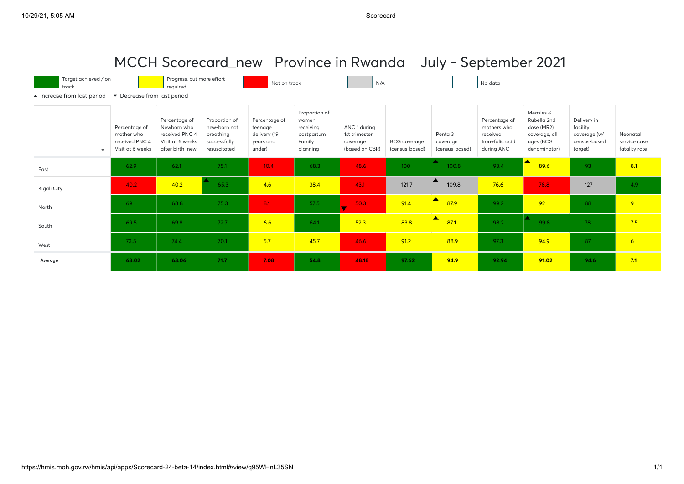| MCCH Scorecard_new Province in Rwanda July - September 2021                              |                                                                   |                                                                                       |                                                                            |                                                                 |                                                        |                                                             |                                       |                                       |                                                                           |                                                                         |                                                                    |                                           |
|------------------------------------------------------------------------------------------|-------------------------------------------------------------------|---------------------------------------------------------------------------------------|----------------------------------------------------------------------------|-----------------------------------------------------------------|--------------------------------------------------------|-------------------------------------------------------------|---------------------------------------|---------------------------------------|---------------------------------------------------------------------------|-------------------------------------------------------------------------|--------------------------------------------------------------------|-------------------------------------------|
| Target achieved / on<br>track                                                            |                                                                   | Progress, but more effort<br>required                                                 |                                                                            | Not on track                                                    |                                                        | N/A                                                         |                                       |                                       | No data                                                                   |                                                                         |                                                                    |                                           |
| • Decrease from last period<br>▲ Increase from last period<br>Measles &<br>Proportion of |                                                                   |                                                                                       |                                                                            |                                                                 |                                                        |                                                             |                                       |                                       |                                                                           |                                                                         |                                                                    |                                           |
| $\overline{\phantom{a}}$                                                                 | Percentage of<br>mother who<br>received PNC 4<br>Visit at 6 weeks | Percentage of<br>Newborn who<br>received PNC 4<br>Visit at 6 weeks<br>after birth_new | Proportion of<br>new-born not<br>breathing<br>successfully<br>resuscitated | Percentage of<br>teenage<br>delivery (19<br>vears and<br>under) | women<br>receiving<br>postpartum<br>Family<br>planning | ANC 1 during<br>1st trimester<br>coverage<br>(based on CBR) | <b>BCG</b> coverage<br>(census-based) | Penta 3<br>coverage<br>(census-based) | Percentage of<br>mothers who<br>received<br>Iron+folic acid<br>during ANC | Rubella 2nd<br>dose (MR2)<br>coverage, all<br>ages (BCG<br>denominator) | Delivery in<br>facility<br>coverage (w/<br>census-based<br>target) | Neonatal<br>service case<br>fatality rate |
| East                                                                                     | 62.9                                                              | 62.1                                                                                  | 75.1                                                                       | 10.4                                                            | 68.3                                                   | 48.6                                                        | 100 <sub>1</sub>                      | A<br>100.8                            | 93.4                                                                      | 89.6                                                                    | 93                                                                 | 8.1                                       |
| Kigali City                                                                              | 40.2                                                              | 40.2                                                                                  | 65.3                                                                       | 4.6                                                             | 38.4                                                   | 43.1                                                        | 121.7                                 | ▴<br>109.8                            | 76.6                                                                      | 78.8                                                                    | 127                                                                | 4.9                                       |
| North                                                                                    | -69                                                               | 68.8                                                                                  | 75.3                                                                       | 8.1                                                             | 57.5                                                   | 50.3                                                        | 91.4                                  | $\blacktriangle$<br>87.9              | 99.2                                                                      | 92                                                                      | 88                                                                 | 9                                         |
| South                                                                                    | 69.5                                                              | 69.8                                                                                  | 72.7                                                                       | 6.6                                                             | 64.1                                                   | 52.3                                                        | 83.8                                  | $\blacktriangle$<br>87.1              | 98.2                                                                      | $\blacktriangle$<br>99.8                                                | 78                                                                 | 7.5                                       |
| West                                                                                     | 73.5                                                              | 74.4                                                                                  | 70.1                                                                       | 5.7                                                             | 45.7                                                   | 46.6                                                        | 91.2                                  | 88.9                                  | 97.3                                                                      | 94.9                                                                    | 87                                                                 | 6                                         |
| Average                                                                                  | 63.02                                                             | 63.06                                                                                 | 71.7                                                                       | 7.08                                                            | 54.8                                                   | 48.18                                                       | 97.62                                 | 94.9                                  | 92.94                                                                     | 91.02                                                                   | 94.6                                                               | 7.1                                       |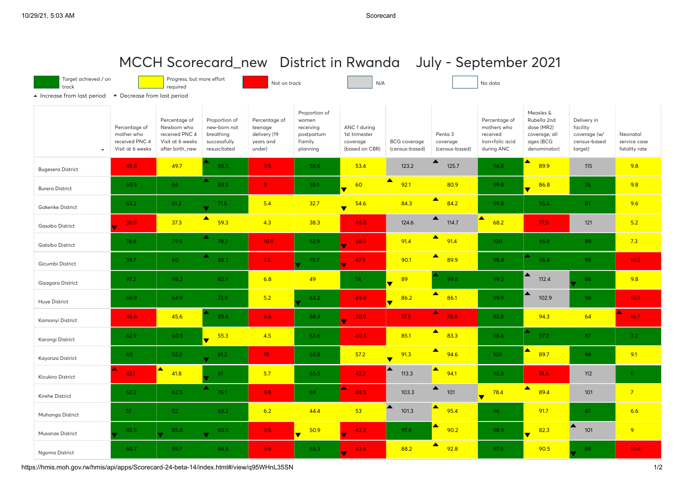|                                                                                                                                                                     |                                                                   |                                                                                       |                                                                            |                                                                 |                                                                         |                                                             |                                       | MCCH Scorecard_new District in Rwanda July - September 2021 |                                                                           |                                                                                      |                                                                    |                                           |
|---------------------------------------------------------------------------------------------------------------------------------------------------------------------|-------------------------------------------------------------------|---------------------------------------------------------------------------------------|----------------------------------------------------------------------------|-----------------------------------------------------------------|-------------------------------------------------------------------------|-------------------------------------------------------------|---------------------------------------|-------------------------------------------------------------|---------------------------------------------------------------------------|--------------------------------------------------------------------------------------|--------------------------------------------------------------------|-------------------------------------------|
| Target achieved / on<br>Progress, but more effort<br>N/A<br>No data<br>Not on track<br>track<br>required<br>▲ Increase from last period • Decrease from last period |                                                                   |                                                                                       |                                                                            |                                                                 |                                                                         |                                                             |                                       |                                                             |                                                                           |                                                                                      |                                                                    |                                           |
|                                                                                                                                                                     | Percentage of<br>mother who<br>received PNC 4<br>Visit at 6 weeks | Percentage of<br>Newborn who<br>received PNC 4<br>Visit at 6 weeks<br>after birth_new | Proportion of<br>new-born not<br>breathing<br>successfully<br>resuscitated | Percentage of<br>teenage<br>delivery (19<br>years and<br>under) | Proportion of<br>women<br>receiving<br>postpartum<br>Family<br>planning | ANC 1 during<br>1st trimester<br>coverage<br>(based on CBR) | <b>BCG</b> coverage<br>(census-based) | Penta 3<br>coverage<br>(census-based)                       | Percentage of<br>mothers who<br>received<br>Iron+folic acid<br>during ANC | Measles &<br>Rubella 2nd<br>dose (MR2)<br>coverage, all<br>ages (BCG<br>denominator) | Delivery in<br>facility<br>coverage (w/<br>census-based<br>target) | Neonatal<br>service case<br>fatality rate |
| <b>Bugesera District</b>                                                                                                                                            | 48.8                                                              | 49.7                                                                                  | 85.5                                                                       | 9.5                                                             | 58.6                                                                    | 53.4                                                        | 123.2                                 | $\blacktriangle$<br>125.7                                   | 94.8                                                                      | $\blacktriangle$<br>89.9                                                             | 115                                                                | 9.8                                       |
| <b>Burera District</b>                                                                                                                                              | 65.9                                                              | 66                                                                                    | 83.5                                                                       | $\overline{9}$                                                  | 59.1                                                                    | 60<br>$\blacklozenge$                                       | $\blacktriangle$<br>92.1              | 80.9                                                        | 99.8                                                                      | 86.8                                                                                 | 76                                                                 | 9.8                                       |
| <b>Gakenke District</b>                                                                                                                                             | 63.2                                                              | 61.2                                                                                  | 71.6                                                                       | 5.4                                                             | 32.7                                                                    | 54.6<br>$\overline{\mathbf{v}}$                             | 84.3                                  | $\blacktriangle$<br>84.2                                    | 99.8                                                                      | 95.6                                                                                 | 81                                                                 | 9.6                                       |
| <b>Gasabo District</b>                                                                                                                                              | 36.9                                                              | 37.3                                                                                  | $\blacktriangle$<br>59.3                                                   | 4.3                                                             | 38.3                                                                    | 46.8                                                        | 124.6                                 | $\blacktriangle$<br>114.7                                   | $\blacktriangle$<br>68.2                                                  | 77.8                                                                                 | 121                                                                | 5.2                                       |
| <b>Gatsibo District</b>                                                                                                                                             | 78.8                                                              | 79.5                                                                                  | ▴<br>78.2                                                                  | 10.9 <sup>°</sup>                                               | 52.9                                                                    | 48.9<br>v                                                   | 91.4                                  | $\blacktriangle$<br>91.4                                    | 100                                                                       | 95.9                                                                                 | 89                                                                 | 7.3                                       |
| Gicumbi District                                                                                                                                                    | 59.7                                                              | 60                                                                                    | ▴<br>85.3                                                                  | 7.5                                                             | 75.7                                                                    | 47.9<br>÷                                                   | 90.1                                  | $\blacktriangle$<br>89.9                                    | 98.4                                                                      | ▴<br>96.4                                                                            | 95                                                                 | 10.2 <sub>1</sub>                         |
| Gisagara District                                                                                                                                                   | 97.2                                                              | 98.2                                                                                  | 82.9                                                                       | 6.8                                                             | 49                                                                      | 74                                                          | 89<br>$\overline{\textbf{v}}$         | 99.8                                                        | 99.2                                                                      | 112.4                                                                                | 86                                                                 | 9.8                                       |
| Huye District                                                                                                                                                       | 66.9                                                              | 64.9                                                                                  | 72.9                                                                       | 5.2                                                             | 63.2                                                                    | 49.4                                                        | 86.2<br>$\overline{\mathbf{v}}$       | $\blacktriangle$<br>86.1                                    | 99.9                                                                      | $\blacktriangle$<br>102.9                                                            | 96                                                                 | 10.7                                      |
| Kamonyi District                                                                                                                                                    | 46.6                                                              | 45.6                                                                                  | 85.6                                                                       | 8.6                                                             | 68.4                                                                    | 30.9                                                        | 77.5                                  | ▴<br>78.8                                                   | 92.8                                                                      | 94.3                                                                                 | 64                                                                 | ▴<br>16.7                                 |
| Karongi District                                                                                                                                                    | 62.9                                                              | 60.5                                                                                  | 55.3<br>$\overline{\mathbf{v}}$                                            | 4.5                                                             | 53.6                                                                    | 40.5                                                        | 85.1                                  | $\blacktriangle$<br>83.3                                    | 98.6                                                                      | ▲<br>97.2                                                                            | 87                                                                 | 3.2 <sub>2</sub>                          |
| Kayonza District                                                                                                                                                    | 60                                                                | 52.2                                                                                  | 61.2                                                                       | 10 <sup>°</sup>                                                 | 65.8                                                                    | 57.2                                                        | 91.3<br>$\overline{\textbf{v}}$       | $\blacktriangle$<br>94.6                                    | 100                                                                       | ▴<br>89.7                                                                            | 94                                                                 | 9.1                                       |
| Kicukiro District                                                                                                                                                   | 42.1                                                              | ▴<br>41.8                                                                             | 61                                                                         | 5.7                                                             | 65.5                                                                    | 42.2                                                        | 113.3                                 | ▲<br>94.1                                                   | 95.8                                                                      | 74.6                                                                                 | 112                                                                | $\circ$                                   |
| Kirehe District                                                                                                                                                     | 62.2                                                              | 62.5                                                                                  | ▴<br>76.1                                                                  | 9.8                                                             | 69                                                                      | ▴<br>48.5                                                   | 103.3                                 | ▲<br>101                                                    | 78.4<br>$\overline{\blacktriangledown}$                                   | $\blacktriangle$<br>89.4                                                             | 101                                                                | $7\overline{}$                            |
| Muhanga District                                                                                                                                                    | 51                                                                | 52                                                                                    | 68.2                                                                       | 6.2                                                             | 44.4                                                                    | 53                                                          | 101.3                                 | ▴<br>95.4                                                   | 96                                                                        | 91.7                                                                                 | 87                                                                 | 6.6                                       |
| Musanze District                                                                                                                                                    | 85.5                                                              | 85.8<br>$\blacktriangledown$                                                          | 65.5<br>$\blacksquare$                                                     | $9.5 -$                                                         | 50.9<br>$\overline{\phantom{0}}$                                        | 42.3<br>$\overline{\mathbf{v}}$                             | 97.4                                  | 90.2                                                        | 98.9                                                                      | 82.3<br>$\overline{\mathbf{v}}$                                                      | ▲<br>101                                                           | 9                                         |
| Ngoma District                                                                                                                                                      | 60.7                                                              | 59.7                                                                                  | 84.5                                                                       | 9.9                                                             | 65.3                                                                    | 43.6                                                        | 88.2                                  | ▲<br>92.8                                                   | 97.5                                                                      | 90.5                                                                                 | 85                                                                 | 10.4                                      |

https://hmis.moh.gov.rw/hmis/api/apps/Scorecard-24-beta-14/index.html#/view/q95WHnL35SN 1/2